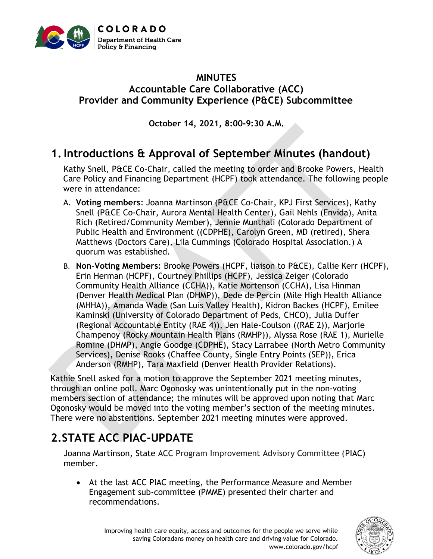

#### **MINUTES Accountable Care Collaborative (ACC) Provider and Community Experience (P&CE) Subcommittee**

**October 14, 2021, 8:00-9:30 A.M.**

# **1.Introductions & Approval of September Minutes (handout)**

Kathy Snell, P&CE Co-Chair, called the meeting to order and Brooke Powers, Health Care Policy and Financing Department (HCPF) took attendance. The following people were in attendance:

- A. **Voting members**: Joanna Martinson (P&CE Co-Chair, KPJ First Services), Kathy Snell (P&CE Co-Chair, Aurora Mental Health Center), Gail Nehls (Envida), Anita Rich (Retired/Community Member), Jennie Munthali (Colorado Department of Public Health and Environment ((CDPHE), Carolyn Green, MD (retired), Shera Matthews (Doctors Care), Lila Cummings (Colorado Hospital Association.) A quorum was established.
- B. **Non-Voting Members:** Brooke Powers (HCPF, liaison to P&CE), Callie Kerr (HCPF), Erin Herman (HCPF), Courtney Phillips (HCPF), Jessica Zeiger (Colorado Community Health Alliance (CCHA)), Katie Mortenson (CCHA), Lisa Hinman (Denver Health Medical Plan (DHMP)), Dede de Percin (Mile High Health Alliance (MHHA)), Amanda Wade (San Luis Valley Health), Kidron Backes (HCPF), Emilee Kaminski (University of Colorado Department of Peds, CHCO), Julia Duffer (Regional Accountable Entity (RAE 4)), Jen Hale-Coulson ((RAE 2)), Marjorie Champenoy (Rocky Mountain Health Plans (RMHP)), Alyssa Rose (RAE 1), Murielle Romine (DHMP), Angie Goodge (CDPHE), Stacy Larrabee (North Metro Community Services), Denise Rooks (Chaffee County, Single Entry Points (SEP)), Erica Anderson (RMHP), Tara Maxfield (Denver Health Provider Relations).

Kathie Snell asked for a motion to approve the September 2021 meeting minutes, through an online poll. Marc Ogonosky was unintentionally put in the non-voting members section of attendance; the minutes will be approved upon noting that Marc Ogonosky would be moved into the voting member's section of the meeting minutes. There were no abstentions. September 2021 meeting minutes were approved.

# **2.STATE ACC PIAC-UPDATE**

Joanna Martinson, State ACC Program Improvement Advisory Committee (PIAC) member.

• At the last ACC PIAC meeting, the Performance Measure and Member Engagement sub-committee (PMME) presented their charter and recommendations.

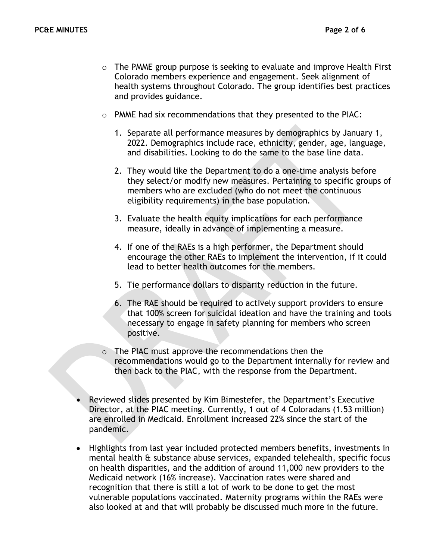- $\circ$  The PMME group purpose is seeking to evaluate and improve Health First Colorado members experience and engagement. Seek alignment of health systems throughout Colorado. The group identifies best practices and provides guidance.
- o PMME had six recommendations that they presented to the PIAC:
	- 1. Separate all performance measures by demographics by January 1, 2022. Demographics include race, ethnicity, gender, age, language, and disabilities. Looking to do the same to the base line data.
	- 2. They would like the Department to do a one-time analysis before they select/or modify new measures. Pertaining to specific groups of members who are excluded (who do not meet the continuous eligibility requirements) in the base population.
	- 3. Evaluate the health equity implications for each performance measure, ideally in advance of implementing a measure.
	- 4. If one of the RAEs is a high performer, the Department should encourage the other RAEs to implement the intervention, if it could lead to better health outcomes for the members.
	- 5. Tie performance dollars to disparity reduction in the future.
	- 6. The RAE should be required to actively support providers to ensure that 100% screen for suicidal ideation and have the training and tools necessary to engage in safety planning for members who screen positive.
- o The PIAC must approve the recommendations then the recommendations would go to the Department internally for review and then back to the PIAC, with the response from the Department.
- Reviewed slides presented by Kim Bimestefer, the Department's Executive Director, at the PIAC meeting. Currently, 1 out of 4 Coloradans (1.53 million) are enrolled in Medicaid. Enrollment increased 22% since the start of the pandemic.
- Highlights from last year included protected members benefits, investments in mental health & substance abuse services, expanded telehealth, specific focus on health disparities, and the addition of around 11,000 new providers to the Medicaid network (16% increase). Vaccination rates were shared and recognition that there is still a lot of work to be done to get the most vulnerable populations vaccinated. Maternity programs within the RAEs were also looked at and that will probably be discussed much more in the future.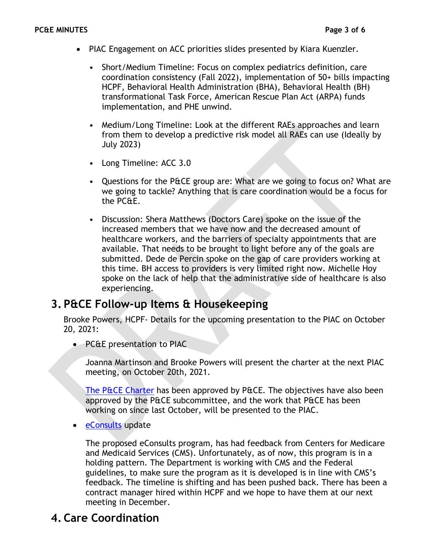- PIAC Engagement on ACC priorities slides presented by Kiara Kuenzler.
	- Short/Medium Timeline: Focus on complex pediatrics definition, care coordination consistency (Fall 2022), implementation of 50+ bills impacting HCPF, Behavioral Health Administration (BHA), Behavioral Health (BH) transformational Task Force, American Rescue Plan Act (ARPA) funds implementation, and PHE unwind.
	- Medium/Long Timeline: Look at the different RAEs approaches and learn from them to develop a predictive risk model all RAEs can use (Ideally by July 2023)
	- Long Timeline: ACC 3.0
	- Questions for the P&CE group are: What are we going to focus on? What are we going to tackle? Anything that is care coordination would be a focus for the PC&E.
	- Discussion: Shera Matthews (Doctors Care) spoke on the issue of the increased members that we have now and the decreased amount of healthcare workers, and the barriers of specialty appointments that are available. That needs to be brought to light before any of the goals are submitted. Dede de Percin spoke on the gap of care providers working at this time. BH access to providers is very limited right now. Michelle Hoy spoke on the lack of help that the administrative side of healthcare is also experiencing.

## **3. P&CE Follow-up Items & Housekeeping**

Brooke Powers, HCPF- Details for the upcoming presentation to the PIAC on October 20, 2021:

• PC&E presentation to PIAC

Joanna Martinson and Brooke Powers will present the charter at the next PIAC meeting, on October 20th, 2021.

[The P&CE Charter](https://hcpf.colorado.gov/sites/hcpf/files/Provider%20and%20Community%20Experience%20PIAC%20Subcommittee%20Draft%20Charter%20Updated%20September%202021.pdf) has been approved by P&CE. The objectives have also been approved by the P&CE subcommittee, and the work that P&CE has been working on since last October, will be presented to the PIAC.

• [eConsults](https://hcpf.colorado.gov/stakeholder-telemedicine) update

The proposed eConsults program, has had feedback from Centers for Medicare and Medicaid Services (CMS). Unfortunately, as of now, this program is in a holding pattern. The Department is working with CMS and the Federal guidelines, to make sure the program as it is developed is in line with CMS's feedback. The timeline is shifting and has been pushed back. There has been a contract manager hired within HCPF and we hope to have them at our next meeting in December.

# **4. Care Coordination**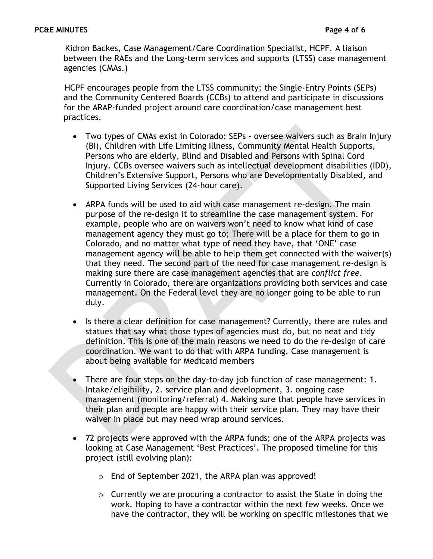Kidron Backes, Case Management/Care Coordination Specialist, HCPF. A liaison between the RAEs and the Long-term services and supports (LTSS) case management agencies (CMAs.)

HCPF encourages people from the LTSS community; the Single-Entry Points (SEPs) and the Community Centered Boards (CCBs) to attend and participate in discussions for the ARAP-funded project around care coordination/case management best practices.

- Two types of CMAs exist in Colorado: SEPs oversee waivers such as Brain Injury (BI), Children with Life Limiting Illness, Community Mental Health Supports, Persons who are elderly, Blind and Disabled and Persons with Spinal Cord Injury. CCBs oversee waivers such as intellectual development disabilities (IDD), Children's Extensive Support, Persons who are Developmentally Disabled, and Supported Living Services (24-hour care).
- ARPA funds will be used to aid with case management re-design. The main purpose of the re-design it to streamline the case management system. For example, people who are on waivers won't need to know what kind of case management agency they must go to; There will be a place for them to go in Colorado, and no matter what type of need they have, that 'ONE' case management agency will be able to help them get connected with the waiver(s) that they need. The second part of the need for case management re-design is making sure there are case management agencies that are *conflict free*. Currently in Colorado, there are organizations providing both services and case management. On the Federal level they are no longer going to be able to run duly.
- Is there a clear definition for case management? Currently, there are rules and statues that say what those types of agencies must do, but no neat and tidy definition. This is one of the main reasons we need to do the re-design of care coordination. We want to do that with ARPA funding. Case management is about being available for Medicaid members
- There are four steps on the day-to-day job function of case management: 1. Intake/eligibility, 2. service plan and development, 3. ongoing case management (monitoring/referral) 4. Making sure that people have services in their plan and people are happy with their service plan. They may have their waiver in place but may need wrap around services.
- 72 projects were approved with the ARPA funds; one of the ARPA projects was looking at Case Management 'Best Practices'. The proposed timeline for this project (still evolving plan):
	- o End of September 2021, the ARPA plan was approved!
	- o Currently we are procuring a contractor to assist the State in doing the work. Hoping to have a contractor within the next few weeks. Once we have the contractor, they will be working on specific milestones that we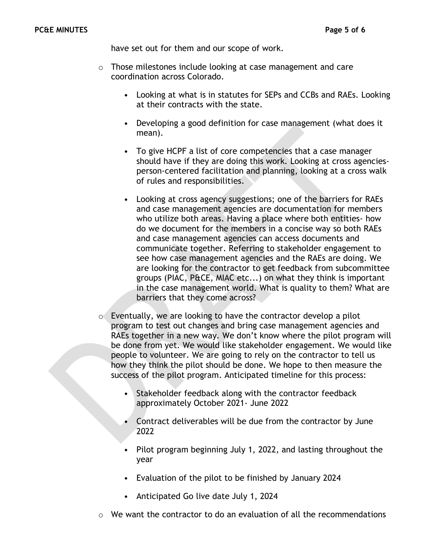have set out for them and our scope of work.

- o Those milestones include looking at case management and care coordination across Colorado.
	- Looking at what is in statutes for SEPs and CCBs and RAEs. Looking at their contracts with the state.
	- Developing a good definition for case management (what does it mean).
	- To give HCPF a list of core competencies that a case manager should have if they are doing this work. Looking at cross agenciesperson-centered facilitation and planning, looking at a cross walk of rules and responsibilities.
	- Looking at cross agency suggestions; one of the barriers for RAEs and case management agencies are documentation for members who utilize both areas. Having a place where both entities- how do we document for the members in a concise way so both RAEs and case management agencies can access documents and communicate together. Referring to stakeholder engagement to see how case management agencies and the RAEs are doing. We are looking for the contractor to get feedback from subcommittee groups (PIAC, P&CE, MIAC etc...) on what they think is important in the case management world. What is quality to them? What are barriers that they come across?
- $\circ$  Eventually, we are looking to have the contractor develop a pilot program to test out changes and bring case management agencies and RAEs together in a new way. We don't know where the pilot program will be done from yet. We would like stakeholder engagement. We would like people to volunteer. We are going to rely on the contractor to tell us how they think the pilot should be done. We hope to then measure the success of the pilot program. Anticipated timeline for this process:
	- Stakeholder feedback along with the contractor feedback approximately October 2021- June 2022
	- Contract deliverables will be due from the contractor by June 2022
	- Pilot program beginning July 1, 2022, and lasting throughout the year
	- Evaluation of the pilot to be finished by January 2024
	- Anticipated Go live date July 1, 2024
- $\circ$  We want the contractor to do an evaluation of all the recommendations